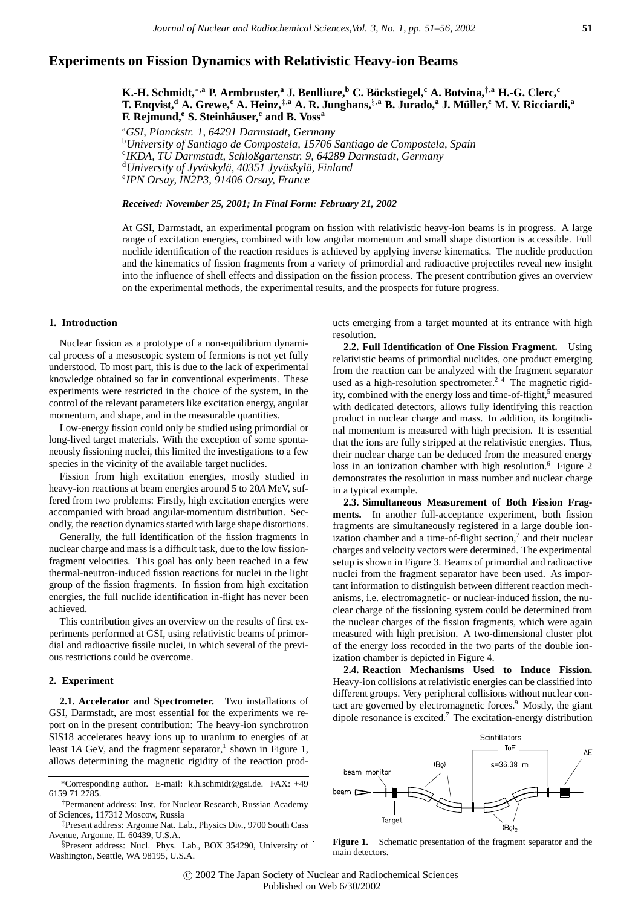# **Experiments on Fission Dynamics with Relativistic Heavy-ion Beams**

**K.-H. Schmidt,**∗**,a P. Armbruster,<sup>a</sup> J. Benlliure,b C. Bockstiegel, ¨ <sup>c</sup> A. Botvina,**†**,a H.-G. Clerc,<sup>c</sup> T. Enqvist,d A. Grewe,<sup>c</sup> A. Heinz,**‡**,a A. R. Junghans,**§**,a B. Jurado,<sup>a</sup> J. M¨uller,<sup>c</sup> M. V. Ricciardi,<sup>a</sup> F. Rejmund,e S. Steinhauser, ¨ <sup>c</sup> and B. Voss<sup>a</sup>**

a *GSI, Planckstr. 1, 64291 Darmstadt, Germany* <sup>b</sup>*University of Santiago de Compostela, 15706 Santiago de Compostela, Spain* c *IKDA, TU Darmstadt, Schloßgartenstr. 9, 64289 Darmstadt, Germany* <sup>d</sup>University of Jyväskylä, 40351 Jyväskylä, Finland<br>®IPN Orsay JN2P3, 91406 Orsay France *IPN Orsay, IN2P3, 91406 Orsay, France*

# *Received: November 25, 2001; In Final Form: February 21, 2002*

At GSI, Darmstadt, an experimental program on fission with relativistic heavy-ion beams is in progress. A large range of excitation energies, combined with low angular momentum and small shape distortion is accessible. Full nuclide identification of the reaction residues is achieved by applying inverse kinematics. The nuclide production and the kinematics of fission fragments from a variety of primordial and radioactive projectiles reveal new insight into the influence of shell effects and dissipation on the fission process. The present contribution gives an overview on the experimental methods, the experimental results, and the prospects for future progress.

### **1. Introduction**

Nuclear fission as a prototype of a non-equilibrium dynamical process of a mesoscopic system of fermions is not yet fully understood. To most part, this is due to the lack of experimental knowledge obtained so far in conventional experiments. These experiments were restricted in the choice of the system, in the control of the relevant parameters like excitation energy, angular momentum, and shape, and in the measurable quantities.

Low-energy fission could only be studied using primordial or long-lived target materials. With the exception of some spontaneously fissioning nuclei, this limited the investigations to a few species in the vicinity of the available target nuclides.

Fission from high excitation energies, mostly studied in heavy-ion reactions at beam energies around 5 to 20*A* MeV, suffered from two problems: Firstly, high excitation energies were accompanied with broad angular-momentum distribution. Secondly, the reaction dynamics started with large shape distortions.

Generally, the full identification of the fission fragments in nuclear charge and mass is a difficult task, due to the low fissionfragment velocities. This goal has only been reached in a few thermal-neutron-induced fission reactions for nuclei in the light group of the fission fragments. In fission from high excitation energies, the full nuclide identification in-flight has never been achieved.

This contribution gives an overview on the results of first experiments performed at GSI, using relativistic beams of primordial and radioactive fissile nuclei, in which several of the previous restrictions could be overcome.

### **2. Experiment**

**2.1. Accelerator and Spectrometer.** Two installations of GSI, Darmstadt, are most essential for the experiments we report on in the present contribution: The heavy-ion synchrotron SIS18 accelerates heavy ions up to uranium to energies of at least 1*A* GeV, and the fragment separator,<sup>1</sup> shown in Figure 1, allows determining the magnetic rigidity of the reaction prod-

§Present address: Nucl. Phys. Lab., BOX 354290, University of Washington, Seattle, WA 98195, U.S.A.

ucts emerging from a target mounted at its entrance with high resolution.

**2.2. Full Identification of One Fission Fragment.** Using relativistic beams of primordial nuclides, one product emerging from the reaction can be analyzed with the fragment separator used as a high-resolution spectrometer. $2-4$  The magnetic rigidity, combined with the energy loss and time-of-flight,<sup>5</sup> measured with dedicated detectors, allows fully identifying this reaction product in nuclear charge and mass. In addition, its longitudinal momentum is measured with high precision. It is essential that the ions are fully stripped at the relativistic energies. Thus, their nuclear charge can be deduced from the measured energy loss in an ionization chamber with high resolution.<sup>6</sup> Figure 2 demonstrates the resolution in mass number and nuclear charge in a typical example.

**2.3. Simultaneous Measurement of Both Fission Fragments.** In another full-acceptance experiment, both fission fragments are simultaneously registered in a large double ionization chamber and a time-of-flight section, $\overline{7}$  and their nuclear charges and velocity vectors were determined. The experimental setup is shown in Figure 3. Beams of primordial and radioactive nuclei from the fragment separator have been used. As important information to distinguish between different reaction mechanisms, i.e. electromagnetic- or nuclear-induced fission, the nuclear charge of the fissioning system could be determined from the nuclear charges of the fission fragments, which were again measured with high precision. A two-dimensional cluster plot of the energy loss recorded in the two parts of the double ionization chamber is depicted in Figure 4.

**2.4. Reaction Mechanisms Used to Induce Fission.** Heavy-ion collisions at relativistic energies can be classified into different groups. Very peripheral collisions without nuclear contact are governed by electromagnetic forces.<sup>9</sup> Mostly, the giant dipole resonance is excited.<sup>7</sup> The excitation-energy distribution



Figure 1. Schematic presentation of the fragment separator and the main detectors.

c 2002 The Japan Society of Nuclear and Radiochemical Sciences Published on Web 6/30/2002

<sup>∗</sup>Corresponding author. E-mail: k.h.schmidt@gsi.de. FAX: +49 6159 71 2785.

<sup>†</sup>Permanent address: Inst. for Nuclear Research, Russian Academy of Sciences, 117312 Moscow, Russia

<sup>‡</sup>Present address: Argonne Nat. Lab., Physics Div., 9700 South Cass Avenue, Argonne, IL 60439, U.S.A.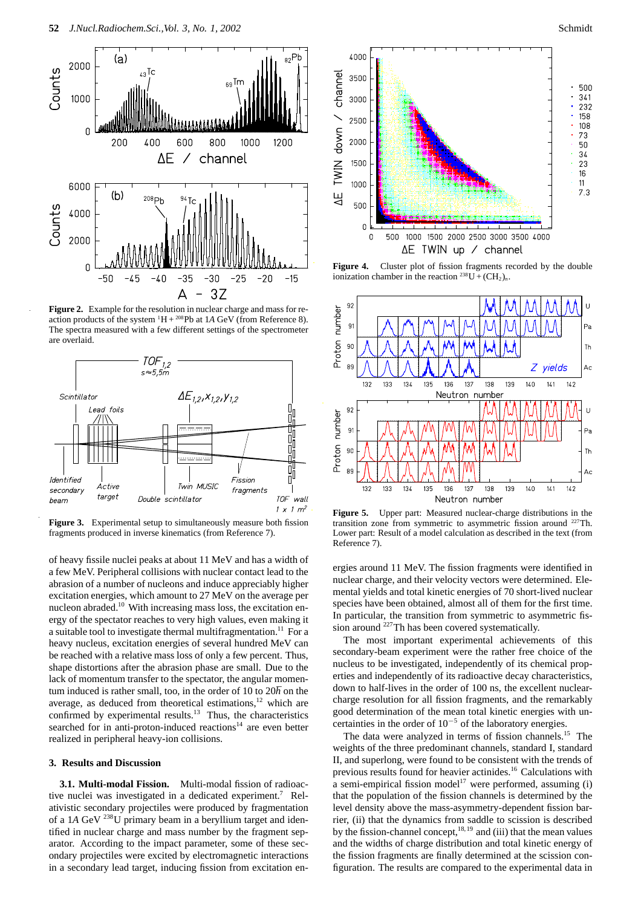

**Figure 2.** Example for the resolution in nuclear charge and mass for reaction products of the system  ${}^{1}H + {}^{208}Pb$  at 1A GeV (from Reference 8). The spectra measured with a few different settings of the spectrometer are overlaid.



**Figure 3.** Experimental setup to simultaneously measure both fission fragments produced in inverse kinematics (from Reference 7).

of heavy fissile nuclei peaks at about 11 MeV and has a width of a few MeV. Peripheral collisions with nuclear contact lead to the abrasion of a number of nucleons and induce appreciably higher excitation energies, which amount to 27 MeV on the average per nucleon abraded.10 With increasing mass loss, the excitation energy of the spectator reaches to very high values, even making it a suitable tool to investigate thermal multifragmentation.<sup>11</sup> For a heavy nucleus, excitation energies of several hundred MeV can be reached with a relative mass loss of only a few percent. Thus, shape distortions after the abrasion phase are small. Due to the lack of momentum transfer to the spectator, the angular momentum induced is rather small, too, in the order of 10 to 20h on the average, as deduced from theoretical estimations, $12$  which are confirmed by experimental results.<sup>13</sup> Thus, the characteristics searched for in anti-proton-induced reactions $14$  are even better realized in peripheral heavy-ion collisions.

# **3. Results and Discussion**

**3.1. Multi-modal Fission.** Multi-modal fission of radioactive nuclei was investigated in a dedicated experiment.7 Relativistic secondary projectiles were produced by fragmentation of a 1*A* GeV 238U primary beam in a beryllium target and identified in nuclear charge and mass number by the fragment separator. According to the impact parameter, some of these secondary projectiles were excited by electromagnetic interactions in a secondary lead target, inducing fission from excitation en-





Figure 4. Cluster plot of fission fragments recorded by the double ionization chamber in the reaction  $^{238}U + (CH_2)_n$ .



**Figure 5.** Upper part: Measured nuclear-charge distributions in the transition zone from symmetric to asymmetric fission around 227Th. Lower part: Result of a model calculation as described in the text (from Reference 7).

ergies around 11 MeV. The fission fragments were identified in nuclear charge, and their velocity vectors were determined. Elemental yields and total kinetic energies of 70 short-lived nuclear species have been obtained, almost all of them for the first time. In particular, the transition from symmetric to asymmetric fission around  $^{227}$ Th has been covered systematically.

The most important experimental achievements of this secondary-beam experiment were the rather free choice of the nucleus to be investigated, independently of its chemical properties and independently of its radioactive decay characteristics, down to half-lives in the order of 100 ns, the excellent nuclearcharge resolution for all fission fragments, and the remarkably good determination of the mean total kinetic energies with uncertainties in the order of  $10^{-5}$  of the laboratory energies.

The data were analyzed in terms of fission channels.<sup>15</sup> The weights of the three predominant channels, standard I, standard II, and superlong, were found to be consistent with the trends of previous results found for heavier actinides.<sup>16</sup> Calculations with a semi-empirical fission model<sup>17</sup> were performed, assuming (i) that the population of the fission channels is determined by the level density above the mass-asymmetry-dependent fission barrier, (ii) that the dynamics from saddle to scission is described by the fission-channel concept,  $18,19$  and (iii) that the mean values and the widths of charge distribution and total kinetic energy of the fission fragments are finally determined at the scission configuration. The results are compared to the experimental data in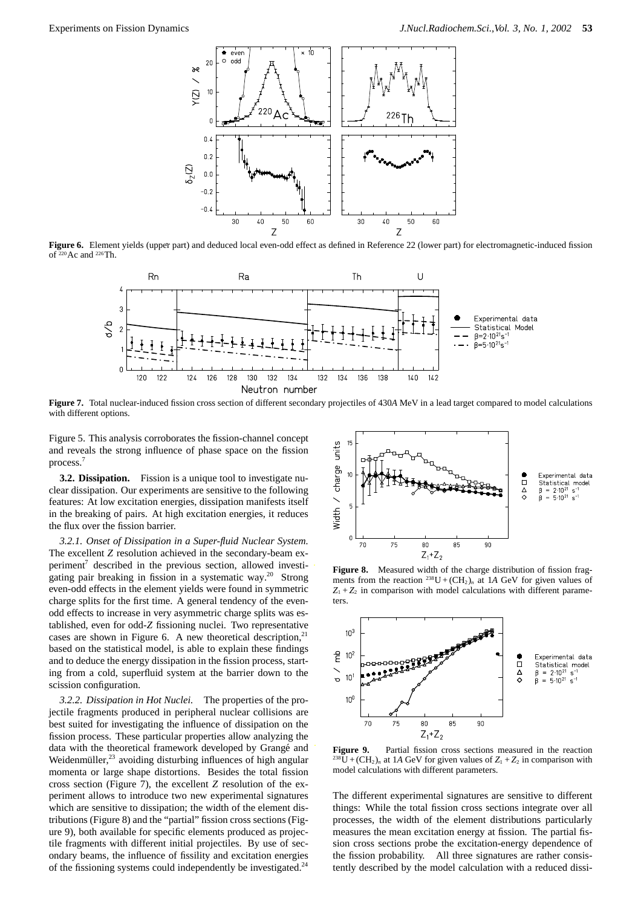

**Figure 6.** Element yields (upper part) and deduced local even-odd effect as defined in Reference 22 (lower part) for electromagnetic-induced fission of 220Ac and 226Th.



**Figure 7.** Total nuclear-induced fission cross section of different secondary projectiles of 430*A* MeV in a lead target compared to model calculations with different options.

Figure 5. This analysis corroborates the fission-channel concept and reveals the strong influence of phase space on the fission process.7

**3.2. Dissipation.** Fission is a unique tool to investigate nuclear dissipation. Our experiments are sensitive to the following features: At low excitation energies, dissipation manifests itself in the breaking of pairs. At high excitation energies, it reduces the flux over the fission barrier.

*3.2.1. Onset of Dissipation in a Super-fluid Nuclear System.* The excellent *Z* resolution achieved in the secondary-beam experiment<sup>7</sup> described in the previous section, allowed investigating pair breaking in fission in a systematic way.20 Strong even-odd effects in the element yields were found in symmetric charge splits for the first time. A general tendency of the evenodd effects to increase in very asymmetric charge splits was established, even for odd-*Z* fissioning nuclei. Two representative cases are shown in Figure 6. A new theoretical description, $2<sup>1</sup>$ based on the statistical model, is able to explain these findings and to deduce the energy dissipation in the fission process, starting from a cold, superfluid system at the barrier down to the scission configuration.

*3.2.2. Dissipation in Hot Nuclei.* The properties of the projectile fragments produced in peripheral nuclear collisions are best suited for investigating the influence of dissipation on the fission process. These particular properties allow analyzing the data with the theoretical framework developed by Grangé and Weidenmüller,<sup>23</sup> avoiding disturbing influences of high angular momenta or large shape distortions. Besides the total fission cross section (Figure 7), the excellent *Z* resolution of the experiment allows to introduce two new experimental signatures which are sensitive to dissipation; the width of the element distributions (Figure 8) and the "partial" fission cross sections (Figure 9), both available for specific elements produced as projectile fragments with different initial projectiles. By use of secondary beams, the influence of fissility and excitation energies of the fissioning systems could independently be investigated.<sup>24</sup>



Figure 8. Measured width of the charge distribution of fission fragments from the reaction <sup>238</sup>U +  $(CH_2)_n$  at 1*A* GeV for given values of  $Z_1 + Z_2$  in comparison with model calculations with different parameters.



**Figure 9.** Partial fission cross sections measured in the reaction  $^{238}$ U + (CH<sub>2</sub>)<sub>n</sub> at 1A GeV for given values of  $Z_1 + Z_2$  in comparison with model calculations with different parameters.

The different experimental signatures are sensitive to different things: While the total fission cross sections integrate over all processes, the width of the element distributions particularly measures the mean excitation energy at fission. The partial fission cross sections probe the excitation-energy dependence of the fission probability. All three signatures are rather consistently described by the model calculation with a reduced dissi-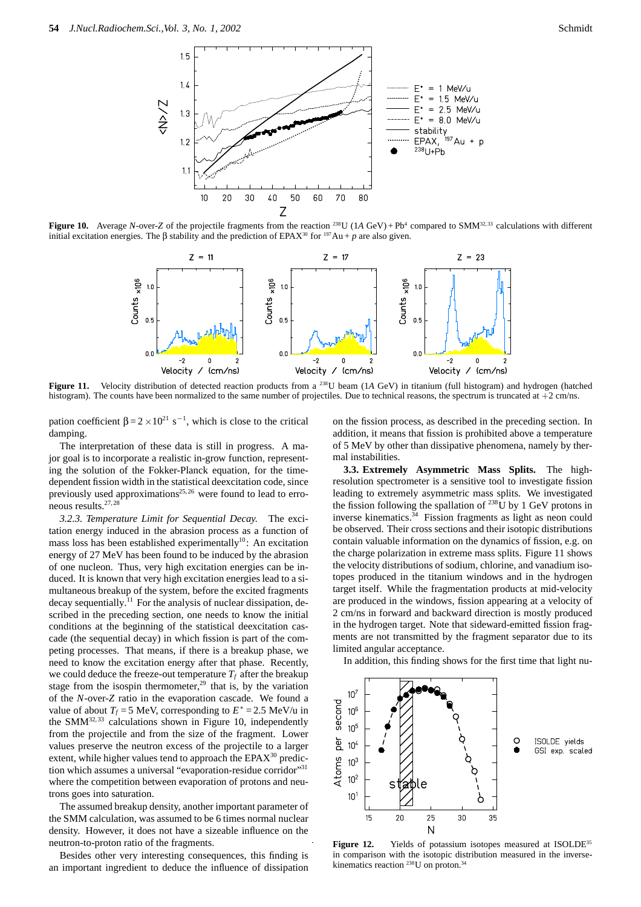

**Figure 10.** Average *N*-over-*Z* of the projectile fragments from the reaction <sup>238</sup>U (1*A* GeV) + Pb<sup>4</sup> compared to SMM<sup>32,33</sup> calculations with different initial excitation energies. The β stability and the prediction of EPAX<sup>30</sup> for <sup>197</sup>Au + *p* are also given.



**Figure 11.** Velocity distribution of detected reaction products from a <sup>238</sup>U beam (1*A* GeV) in titanium (full histogram) and hydrogen (hatched histogram). The counts have been normalized to the same number of projectiles. Due to technical reasons, the spectrum is truncated at  $+2$  cm/ns.

pation coefficient  $β = 2 \times 10^{21}$  s<sup>-1</sup>, which is close to the critical damping.

The interpretation of these data is still in progress. A major goal is to incorporate a realistic in-grow function, representing the solution of the Fokker-Planck equation, for the timedependent fission width in the statistical deexcitation code, since previously used approximations<sup>25,26</sup> were found to lead to erroneous results.27,28

*3.2.3. Temperature Limit for Sequential Decay.* The excitation energy induced in the abrasion process as a function of mass loss has been established experimentally<sup>10</sup>: An excitation energy of 27 MeV has been found to be induced by the abrasion of one nucleon. Thus, very high excitation energies can be induced. It is known that very high excitation energies lead to a simultaneous breakup of the system, before the excited fragments decay sequentially.<sup> $11$ </sup> For the analysis of nuclear dissipation, described in the preceding section, one needs to know the initial conditions at the beginning of the statistical deexcitation cascade (the sequential decay) in which fission is part of the competing processes. That means, if there is a breakup phase, we need to know the excitation energy after that phase. Recently, we could deduce the freeze-out temperature  $T_f$  after the breakup stage from the isospin thermometer,<sup>29</sup> that is, by the variation of the *N*-over-*Z* ratio in the evaporation cascade. We found a value of about  $T_f = 5$  MeV, corresponding to  $E^* = 2.5$  MeV/u in the SMM $^{32,33}$  calculations shown in Figure 10, independently from the projectile and from the size of the fragment. Lower values preserve the neutron excess of the projectile to a larger extent, while higher values tend to approach the  $EPAX<sup>30</sup>$  prediction which assumes a universal "evaporation-residue corridor"31 where the competition between evaporation of protons and neutrons goes into saturation.

The assumed breakup density, another important parameter of the SMM calculation, was assumed to be 6 times normal nuclear density. However, it does not have a sizeable influence on the neutron-to-proton ratio of the fragments.

Besides other very interesting consequences, this finding is an important ingredient to deduce the influence of dissipation

on the fission process, as described in the preceding section. In addition, it means that fission is prohibited above a temperature of 5 MeV by other than dissipative phenomena, namely by thermal instabilities.

**3.3. Extremely Asymmetric Mass Splits.** The highresolution spectrometer is a sensitive tool to investigate fission leading to extremely asymmetric mass splits. We investigated the fission following the spallation of  $^{238}$ U by 1 GeV protons in inverse kinematics.<sup>34</sup> Fission fragments as light as neon could be observed. Their cross sections and their isotopic distributions contain valuable information on the dynamics of fission, e.g. on the charge polarization in extreme mass splits. Figure 11 shows the velocity distributions of sodium, chlorine, and vanadium isotopes produced in the titanium windows and in the hydrogen target itself. While the fragmentation products at mid-velocity are produced in the windows, fission appearing at a velocity of 2 cm/ns in forward and backward direction is mostly produced in the hydrogen target. Note that sideward-emitted fission fragments are not transmitted by the fragment separator due to its limited angular acceptance.

In addition, this finding shows for the first time that light nu-



**Figure 12.** Yields of potassium isotopes measured at ISOLDE<sup>35</sup> in comparison with the isotopic distribution measured in the inversekinematics reaction <sup>238</sup>U on proton.<sup>34</sup>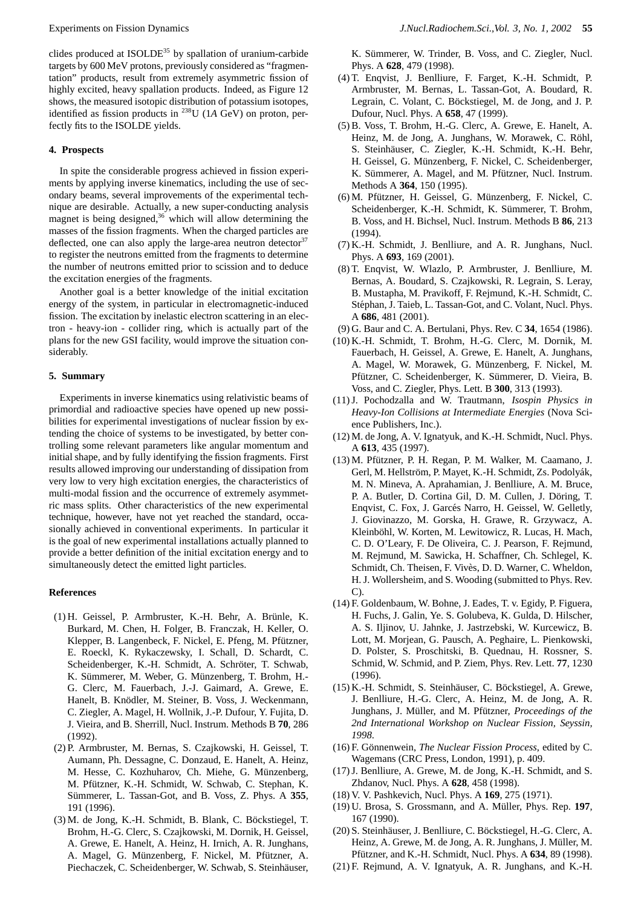clides produced at ISOLDE<sup>35</sup> by spallation of uranium-carbide targets by 600 MeV protons, previously considered as "fragmentation" products, result from extremely asymmetric fission of highly excited, heavy spallation products. Indeed, as Figure 12 shows, the measured isotopic distribution of potassium isotopes, identified as fission products in 238U (1*A* GeV) on proton, perfectly fits to the ISOLDE yields.

# **4. Prospects**

In spite the considerable progress achieved in fission experiments by applying inverse kinematics, including the use of secondary beams, several improvements of the experimental technique are desirable. Actually, a new super-conducting analysis magnet is being designed, $36$  which will allow determining the masses of the fission fragments. When the charged particles are deflected, one can also apply the large-area neutron detector  $37$ to register the neutrons emitted from the fragments to determine the number of neutrons emitted prior to scission and to deduce the excitation energies of the fragments.

Another goal is a better knowledge of the initial excitation energy of the system, in particular in electromagnetic-induced fission. The excitation by inelastic electron scattering in an electron - heavy-ion - collider ring, which is actually part of the plans for the new GSI facility, would improve the situation considerably.

#### **5. Summary**

Experiments in inverse kinematics using relativistic beams of primordial and radioactive species have opened up new possibilities for experimental investigations of nuclear fission by extending the choice of systems to be investigated, by better controlling some relevant parameters like angular momentum and initial shape, and by fully identifying the fission fragments. First results allowed improving our understanding of dissipation from very low to very high excitation energies, the characteristics of multi-modal fission and the occurrence of extremely asymmetric mass splits. Other characteristics of the new experimental technique, however, have not yet reached the standard, occasionally achieved in conventional experiments. In particular it is the goal of new experimental installations actually planned to provide a better definition of the initial excitation energy and to simultaneously detect the emitted light particles.

#### **References**

- $(1)$  H. Geissel, P. Armbruster, K.-H. Behr, A. Brünle, K. Burkard, M. Chen, H. Folger, B. Franczak, H. Keller, O. Klepper, B. Langenbeck, F. Nickel, E. Pfeng, M. Pfützner, E. Roeckl, K. Rykaczewsky, I. Schall, D. Schardt, C. Scheidenberger, K.-H. Schmidt, A. Schröter, T. Schwab, K. Sümmerer, M. Weber, G. Münzenberg, T. Brohm, H.-G. Clerc, M. Fauerbach, J.-J. Gaimard, A. Grewe, E. Hanelt, B. Knödler, M. Steiner, B. Voss, J. Weckenmann, C. Ziegler, A. Magel, H. Wollnik, J.-P. Dufour, Y. Fujita, D. J. Vieira, and B. Sherrill, Nucl. Instrum. Methods B **70**, 286 (1992).
- (2) P. Armbruster, M. Bernas, S. Czajkowski, H. Geissel, T. Aumann, Ph. Dessagne, C. Donzaud, E. Hanelt, A. Heinz, M. Hesse, C. Kozhuharov, Ch. Miehe, G. Münzenberg, M. Pfützner, K.-H. Schmidt, W. Schwab, C. Stephan, K. Sümmerer, L. Tassan-Got, and B. Voss, Z. Phys. A 355, 191 (1996).
- $(3)$  M. de Jong, K.-H. Schmidt, B. Blank, C. Böckstiegel, T. Brohm, H.-G. Clerc, S. Czajkowski, M. Dornik, H. Geissel, A. Grewe, E. Hanelt, A. Heinz, H. Irnich, A. R. Junghans, A. Magel, G. Münzenberg, F. Nickel, M. Pfützner, A. Piechaczek, C. Scheidenberger, W. Schwab, S. Steinhäuser,

K. Sümmerer, W. Trinder, B. Voss, and C. Ziegler, Nucl. Phys. A **628**, 479 (1998).

- (4) T. Enqvist, J. Benlliure, F. Farget, K.-H. Schmidt, P. Armbruster, M. Bernas, L. Tassan-Got, A. Boudard, R. Legrain, C. Volant, C. Böckstiegel, M. de Jong, and J. P. Dufour, Nucl. Phys. A **658**, 47 (1999).
- (5) B. Voss, T. Brohm, H.-G. Clerc, A. Grewe, E. Hanelt, A. Heinz, M. de Jong, A. Junghans, W. Morawek, C. Röhl, S. Steinhäuser, C. Ziegler, K.-H. Schmidt, K.-H. Behr, H. Geissel, G. Münzenberg, F. Nickel, C. Scheidenberger, K. Sümmerer, A. Magel, and M. Pfützner, Nucl. Instrum. Methods A **364**, 150 (1995).
- (6) M. Pfützner, H. Geissel, G. Münzenberg, F. Nickel, C. Scheidenberger, K.-H. Schmidt, K. Sümmerer, T. Brohm, B. Voss, and H. Bichsel, Nucl. Instrum. Methods B **86**, 213  $(1994)$
- (7) K.-H. Schmidt, J. Benlliure, and A. R. Junghans, Nucl. Phys. A **693**, 169 (2001).
- (8) T. Enqvist, W. Wlazlo, P. Armbruster, J. Benlliure, M. Bernas, A. Boudard, S. Czajkowski, R. Legrain, S. Leray, B. Mustapha, M. Pravikoff, F. Rejmund, K.-H. Schmidt, C. Stéphan, J. Taieb, L. Tassan-Got, and C. Volant, Nucl. Phys. A **686**, 481 (2001).
- (9) G. Baur and C. A. Bertulani, Phys. Rev. C **34**, 1654 (1986).
- (10) K.-H. Schmidt, T. Brohm, H.-G. Clerc, M. Dornik, M. Fauerbach, H. Geissel, A. Grewe, E. Hanelt, A. Junghans, A. Magel, W. Morawek, G. Münzenberg, F. Nickel, M. Pfützner, C. Scheidenberger, K. Sümmerer, D. Vieira, B. Voss, and C. Ziegler, Phys. Lett. B **300**, 313 (1993).
- (11) J. Pochodzalla and W. Trautmann, *Isospin Physics in Heavy-Ion Collisions at Intermediate Energies* (Nova Science Publishers, Inc.).
- (12) M. de Jong, A. V. Ignatyuk, and K.-H. Schmidt, Nucl. Phys. A **613**, 435 (1997).
- (13) M. Pfützner, P. H. Regan, P. M. Walker, M. Caamano, J. Gerl, M. Hellström, P. Mayet, K.-H. Schmidt, Zs. Podolyák, M. N. Mineva, A. Aprahamian, J. Benlliure, A. M. Bruce, P. A. Butler, D. Cortina Gil, D. M. Cullen, J. Döring, T. Enqvist, C. Fox, J. Garcés Narro, H. Geissel, W. Gelletly, J. Giovinazzo, M. Gorska, H. Grawe, R. Grzywacz, A. Kleinböhl, W. Korten, M. Lewitowicz, R. Lucas, H. Mach, C. D. O'Leary, F. De Oliveira, C. J. Pearson, F. Rejmund, M. Rejmund, M. Sawicka, H. Schaffner, Ch. Schlegel, K. Schmidt, Ch. Theisen, F. Vivès, D. D. Warner, C. Wheldon, H. J. Wollersheim, and S. Wooding (submitted to Phys. Rev. C).
- (14) F. Goldenbaum, W. Bohne, J. Eades, T. v. Egidy, P. Figuera, H. Fuchs, J. Galin, Ye. S. Golubeva, K. Gulda, D. Hilscher, A. S. Iljinov, U. Jahnke, J. Jastrzebski, W. Kurcewicz, B. Lott, M. Morjean, G. Pausch, A. Peghaire, L. Pienkowski, D. Polster, S. Proschitski, B. Quednau, H. Rossner, S. Schmid, W. Schmid, and P. Ziem, Phys. Rev. Lett. **77**, 1230  $(1996)$ .
- (15) K.-H. Schmidt, S. Steinhäuser, C. Böckstiegel, A. Grewe, J. Benlliure, H.-G. Clerc, A. Heinz, M. de Jong, A. R. Junghans, J. Müller, and M. Pfützner, *Proceedings of the 2nd International Workshop on Nuclear Fission, Seyssin, 1998*.
- (16) F. Gönnenwein, *The Nuclear Fission Process*, edited by C. Wagemans (CRC Press, London, 1991), p. 409.
- (17) J. Benlliure, A. Grewe, M. de Jong, K.-H. Schmidt, and S. Zhdanov, Nucl. Phys. A **628**, 458 (1998).
- (18) V. V. Pashkevich, Nucl. Phys. A **169**, 275 (1971).
- (19) U. Brosa, S. Grossmann, and A. M¨uller, Phys. Rep. **197**, 167 (1990).
- (20) S. Steinhäuser, J. Benlliure, C. Böckstiegel, H.-G. Clerc, A. Heinz, A. Grewe, M. de Jong, A. R. Junghans, J. Müller, M. Pfützner, and K.-H. Schmidt, Nucl. Phys. A 634, 89 (1998).
- (21) F. Rejmund, A. V. Ignatyuk, A. R. Junghans, and K.-H.